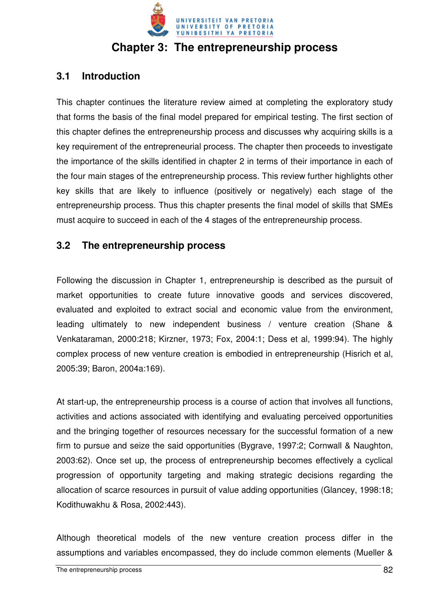

# **Chapter 3: The entrepreneurship process**

# **3.1 Introduction**

This chapter continues the literature review aimed at completing the exploratory study that forms the basis of the final model prepared for empirical testing. The first section of this chapter defines the entrepreneurship process and discusses why acquiring skills is a key requirement of the entrepreneurial process. The chapter then proceeds to investigate the importance of the skills identified in chapter 2 in terms of their importance in each of the four main stages of the entrepreneurship process. This review further highlights other key skills that are likely to influence (positively or negatively) each stage of the entrepreneurship process. Thus this chapter presents the final model of skills that SMEs must acquire to succeed in each of the 4 stages of the entrepreneurship process.

# **3.2 The entrepreneurship process**

Following the discussion in Chapter 1, entrepreneurship is described as the pursuit of market opportunities to create future innovative goods and services discovered, evaluated and exploited to extract social and economic value from the environment, leading ultimately to new independent business / venture creation (Shane & Venkataraman, 2000:218; Kirzner, 1973; Fox, 2004:1; Dess et al, 1999:94). The highly complex process of new venture creation is embodied in entrepreneurship (Hisrich et al, 2005:39; Baron, 2004a:169).

At start-up, the entrepreneurship process is a course of action that involves all functions, activities and actions associated with identifying and evaluating perceived opportunities and the bringing together of resources necessary for the successful formation of a new firm to pursue and seize the said opportunities (Bygrave, 1997:2; Cornwall & Naughton, 2003:62). Once set up, the process of entrepreneurship becomes effectively a cyclical progression of opportunity targeting and making strategic decisions regarding the allocation of scarce resources in pursuit of value adding opportunities (Glancey, 1998:18; Kodithuwakhu & Rosa, 2002:443).

Although theoretical models of the new venture creation process differ in the assumptions and variables encompassed, they do include common elements (Mueller &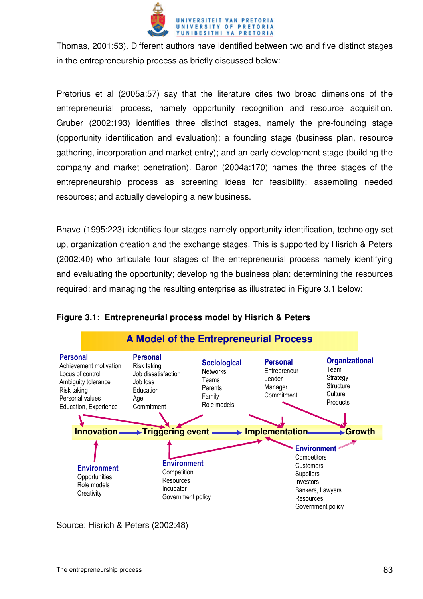

Thomas, 2001:53). Different authors have identified between two and five distinct stages in the entrepreneurship process as briefly discussed below:

Pretorius et al (2005a:57) say that the literature cites two broad dimensions of the entrepreneurial process, namely opportunity recognition and resource acquisition. Gruber (2002:193) identifies three distinct stages, namely the pre-founding stage (opportunity identification and evaluation); a founding stage (business plan, resource gathering, incorporation and market entry); and an early development stage (building the company and market penetration). Baron (2004a:170) names the three stages of the entrepreneurship process as screening ideas for feasibility; assembling needed resources; and actually developing a new business.

Bhave (1995:223) identifies four stages namely opportunity identification, technology set up, organization creation and the exchange stages. This is supported by Hisrich & Peters (2002:40) who articulate four stages of the entrepreneurial process namely identifying and evaluating the opportunity; developing the business plan; determining the resources required; and managing the resulting enterprise as illustrated in Figure 3.1 below:



#### **Figure 3.1: Entrepreneurial process model by Hisrich & Peters**

Source: Hisrich & Peters (2002:48)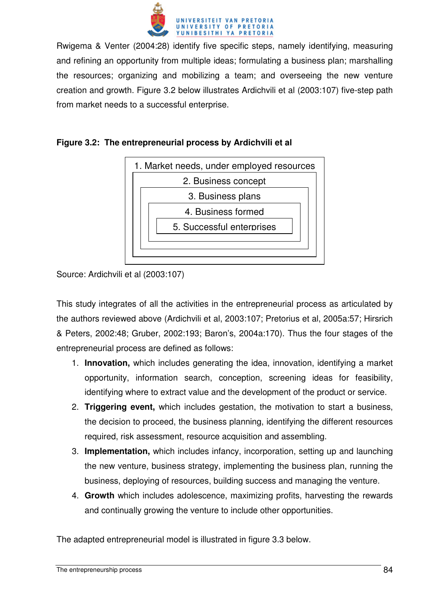

Rwigema & Venter (2004:28) identify five specific steps, namely identifying, measuring and refining an opportunity from multiple ideas; formulating a business plan; marshalling the resources; organizing and mobilizing a team; and overseeing the new venture creation and growth. Figure 3.2 below illustrates Ardichvili et al (2003:107) five-step path from market needs to a successful enterprise.





Source: Ardichvili et al (2003:107)

This study integrates of all the activities in the entrepreneurial process as articulated by the authors reviewed above (Ardichvili et al, 2003:107; Pretorius et al, 2005a:57; Hirsrich & Peters, 2002:48; Gruber, 2002:193; Baron's, 2004a:170). Thus the four stages of the entrepreneurial process are defined as follows:

- 1. **Innovation,** which includes generating the idea, innovation, identifying a market opportunity, information search, conception, screening ideas for feasibility, identifying where to extract value and the development of the product or service.
- 2. **Triggering event,** which includes gestation, the motivation to start a business, the decision to proceed, the business planning, identifying the different resources required, risk assessment, resource acquisition and assembling.
- 3. **Implementation,** which includes infancy, incorporation, setting up and launching the new venture, business strategy, implementing the business plan, running the business, deploying of resources, building success and managing the venture.
- 4. **Growth** which includes adolescence, maximizing profits, harvesting the rewards and continually growing the venture to include other opportunities.

The adapted entrepreneurial model is illustrated in figure 3.3 below.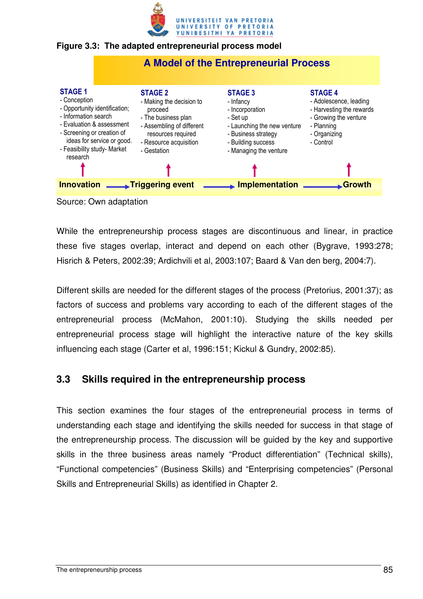

#### **Figure 3.3: The adapted entrepreneurial process model**



While the entrepreneurship process stages are discontinuous and linear, in practice these five stages overlap, interact and depend on each other (Bygrave, 1993:278; Hisrich & Peters, 2002:39; Ardichvili et al, 2003:107; Baard & Van den berg, 2004:7).

Different skills are needed for the different stages of the process (Pretorius, 2001:37); as factors of success and problems vary according to each of the different stages of the entrepreneurial process (McMahon, 2001:10). Studying the skills needed per entrepreneurial process stage will highlight the interactive nature of the key skills influencing each stage (Carter et al, 1996:151; Kickul & Gundry, 2002:85).

# **3.3 Skills required in the entrepreneurship process**

This section examines the four stages of the entrepreneurial process in terms of understanding each stage and identifying the skills needed for success in that stage of the entrepreneurship process. The discussion will be guided by the key and supportive skills in the three business areas namely "Product differentiation" (Technical skills), "Functional competencies" (Business Skills) and "Enterprising competencies" (Personal Skills and Entrepreneurial Skills) as identified in Chapter 2.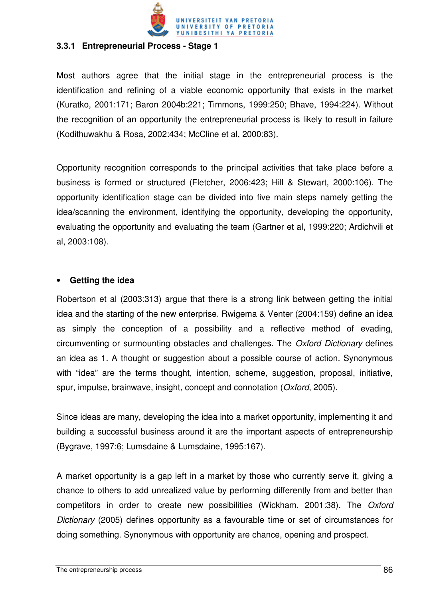

#### **3.3.1 Entrepreneurial Process - Stage 1**

Most authors agree that the initial stage in the entrepreneurial process is the identification and refining of a viable economic opportunity that exists in the market (Kuratko, 2001:171; Baron 2004b:221; Timmons, 1999:250; Bhave, 1994:224). Without the recognition of an opportunity the entrepreneurial process is likely to result in failure (Kodithuwakhu & Rosa, 2002:434; McCline et al, 2000:83).

Opportunity recognition corresponds to the principal activities that take place before a business is formed or structured (Fletcher, 2006:423; Hill & Stewart, 2000:106). The opportunity identification stage can be divided into five main steps namely getting the idea/scanning the environment, identifying the opportunity, developing the opportunity, evaluating the opportunity and evaluating the team (Gartner et al, 1999:220; Ardichvili et al, 2003:108).

#### • **Getting the idea**

Robertson et al (2003:313) argue that there is a strong link between getting the initial idea and the starting of the new enterprise. Rwigema & Venter (2004:159) define an idea as simply the conception of a possibility and a reflective method of evading, circumventing or surmounting obstacles and challenges. The Oxford Dictionary defines an idea as 1. A thought or suggestion about a possible course of action. Synonymous with "idea" are the terms thought, intention, scheme, suggestion, proposal, initiative, spur, impulse, brainwave, insight, concept and connotation (Oxford, 2005).

Since ideas are many, developing the idea into a market opportunity, implementing it and building a successful business around it are the important aspects of entrepreneurship (Bygrave, 1997:6; Lumsdaine & Lumsdaine, 1995:167).

A market opportunity is a gap left in a market by those who currently serve it, giving a chance to others to add unrealized value by performing differently from and better than competitors in order to create new possibilities (Wickham, 2001:38). The Oxford Dictionary (2005) defines opportunity as a favourable time or set of circumstances for doing something. Synonymous with opportunity are chance, opening and prospect.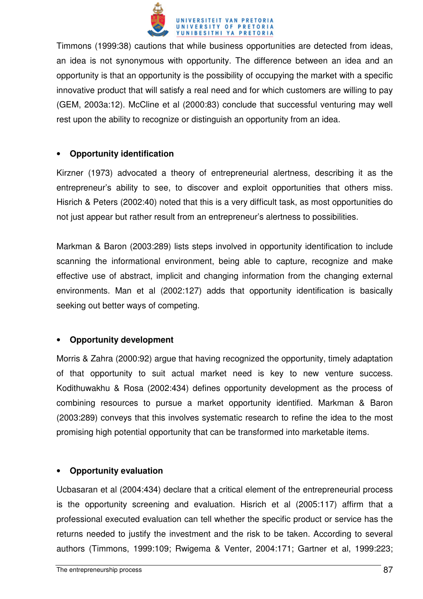

Timmons (1999:38) cautions that while business opportunities are detected from ideas, an idea is not synonymous with opportunity. The difference between an idea and an opportunity is that an opportunity is the possibility of occupying the market with a specific innovative product that will satisfy a real need and for which customers are willing to pay (GEM, 2003a:12). McCline et al (2000:83) conclude that successful venturing may well rest upon the ability to recognize or distinguish an opportunity from an idea.

#### • **Opportunity identification**

Kirzner (1973) advocated a theory of entrepreneurial alertness, describing it as the entrepreneur's ability to see, to discover and exploit opportunities that others miss. Hisrich & Peters (2002:40) noted that this is a very difficult task, as most opportunities do not just appear but rather result from an entrepreneur's alertness to possibilities.

Markman & Baron (2003:289) lists steps involved in opportunity identification to include scanning the informational environment, being able to capture, recognize and make effective use of abstract, implicit and changing information from the changing external environments. Man et al (2002:127) adds that opportunity identification is basically seeking out better ways of competing.

#### • **Opportunity development**

Morris & Zahra (2000:92) argue that having recognized the opportunity, timely adaptation of that opportunity to suit actual market need is key to new venture success. Kodithuwakhu & Rosa (2002:434) defines opportunity development as the process of combining resources to pursue a market opportunity identified. Markman & Baron (2003:289) conveys that this involves systematic research to refine the idea to the most promising high potential opportunity that can be transformed into marketable items.

#### • **Opportunity evaluation**

Ucbasaran et al (2004:434) declare that a critical element of the entrepreneurial process is the opportunity screening and evaluation. Hisrich et al (2005:117) affirm that a professional executed evaluation can tell whether the specific product or service has the returns needed to justify the investment and the risk to be taken. According to several authors (Timmons, 1999:109; Rwigema & Venter, 2004:171; Gartner et al, 1999:223;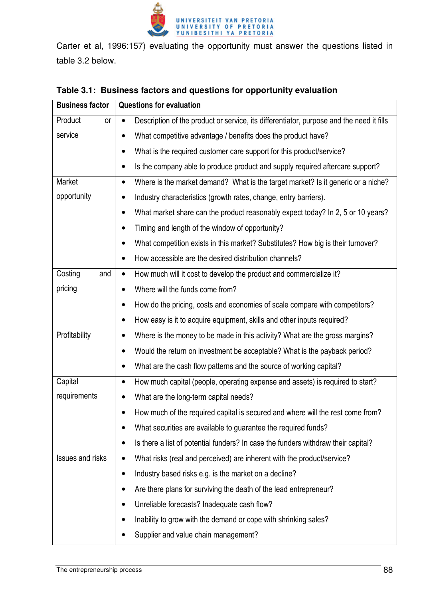

Carter et al, 1996:157) evaluating the opportunity must answer the questions listed in table 3.2 below.

| <b>Business factor</b>  | <b>Questions for evaluation</b>                                                                       |  |  |  |  |
|-------------------------|-------------------------------------------------------------------------------------------------------|--|--|--|--|
| Product<br>or           | Description of the product or service, its differentiator, purpose and the need it fills<br>$\bullet$ |  |  |  |  |
| service                 | What competitive advantage / benefits does the product have?                                          |  |  |  |  |
|                         | What is the required customer care support for this product/service?<br>٠                             |  |  |  |  |
|                         | Is the company able to produce product and supply required aftercare support?<br>$\bullet$            |  |  |  |  |
| Market                  | Where is the market demand? What is the target market? Is it generic or a niche?<br>$\bullet$         |  |  |  |  |
| opportunity             | Industry characteristics (growth rates, change, entry barriers).<br>$\bullet$                         |  |  |  |  |
|                         | What market share can the product reasonably expect today? In 2, 5 or 10 years?<br>٠                  |  |  |  |  |
|                         | Timing and length of the window of opportunity?                                                       |  |  |  |  |
|                         | What competition exists in this market? Substitutes? How big is their turnover?                       |  |  |  |  |
|                         | How accessible are the desired distribution channels?<br>$\bullet$                                    |  |  |  |  |
| Costing<br>and          | How much will it cost to develop the product and commercialize it?<br>$\bullet$                       |  |  |  |  |
| pricing                 | Where will the funds come from?                                                                       |  |  |  |  |
|                         | How do the pricing, costs and economies of scale compare with competitors?                            |  |  |  |  |
|                         | How easy is it to acquire equipment, skills and other inputs required?<br>٠                           |  |  |  |  |
| Profitability           | Where is the money to be made in this activity? What are the gross margins?<br>٠                      |  |  |  |  |
|                         | Would the return on investment be acceptable? What is the payback period?<br>$\bullet$                |  |  |  |  |
|                         | What are the cash flow patterns and the source of working capital?                                    |  |  |  |  |
| Capital                 | How much capital (people, operating expense and assets) is required to start?<br>$\bullet$            |  |  |  |  |
| requirements            | What are the long-term capital needs?                                                                 |  |  |  |  |
|                         | How much of the required capital is secured and where will the rest come from?                        |  |  |  |  |
|                         | What securities are available to guarantee the required funds?                                        |  |  |  |  |
|                         | Is there a list of potential funders? In case the funders withdraw their capital?                     |  |  |  |  |
| <b>Issues and risks</b> | What risks (real and perceived) are inherent with the product/service?<br>$\bullet$                   |  |  |  |  |
|                         | Industry based risks e.g. is the market on a decline?                                                 |  |  |  |  |
|                         | Are there plans for surviving the death of the lead entrepreneur?                                     |  |  |  |  |
|                         | Unreliable forecasts? Inadequate cash flow?                                                           |  |  |  |  |
|                         | Inability to grow with the demand or cope with shrinking sales?                                       |  |  |  |  |
|                         | Supplier and value chain management?                                                                  |  |  |  |  |

## **Table 3.1: Business factors and questions for opportunity evaluation**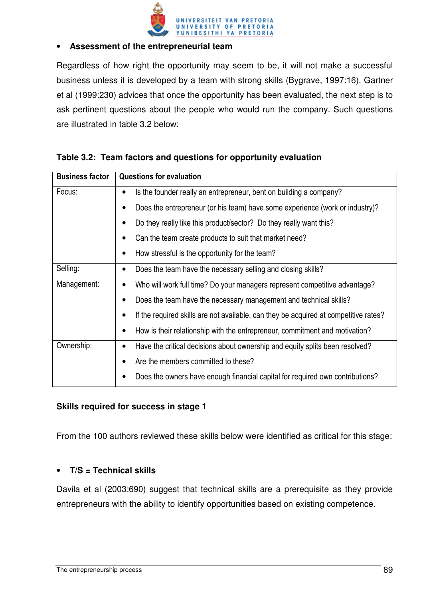

#### • **Assessment of the entrepreneurial team**

Regardless of how right the opportunity may seem to be, it will not make a successful business unless it is developed by a team with strong skills (Bygrave, 1997:16). Gartner et al (1999:230) advices that once the opportunity has been evaluated, the next step is to ask pertinent questions about the people who would run the company. Such questions are illustrated in table 3.2 below:

| <b>Business factor</b> | <b>Questions for evaluation</b>                                                           |  |  |  |  |
|------------------------|-------------------------------------------------------------------------------------------|--|--|--|--|
| Focus:                 | Is the founder really an entrepreneur, bent on building a company?<br>$\bullet$           |  |  |  |  |
|                        | Does the entrepreneur (or his team) have some experience (work or industry)?              |  |  |  |  |
|                        | Do they really like this product/sector? Do they really want this?                        |  |  |  |  |
|                        | Can the team create products to suit that market need?<br>٠                               |  |  |  |  |
|                        | How stressful is the opportunity for the team?                                            |  |  |  |  |
| Selling:               | Does the team have the necessary selling and closing skills?<br>٠                         |  |  |  |  |
| Management:            | Who will work full time? Do your managers represent competitive advantage?<br>$\bullet$   |  |  |  |  |
|                        | Does the team have the necessary management and technical skills?                         |  |  |  |  |
|                        | If the required skills are not available, can they be acquired at competitive rates?      |  |  |  |  |
|                        | How is their relationship with the entrepreneur, commitment and motivation?               |  |  |  |  |
| Ownership:             | Have the critical decisions about ownership and equity splits been resolved?<br>$\bullet$ |  |  |  |  |
|                        | Are the members committed to these?                                                       |  |  |  |  |
|                        | Does the owners have enough financial capital for required own contributions?             |  |  |  |  |

|  |  |  | Table 3.2: Team factors and questions for opportunity evaluation |  |
|--|--|--|------------------------------------------------------------------|--|
|--|--|--|------------------------------------------------------------------|--|

#### **Skills required for success in stage 1**

From the 100 authors reviewed these skills below were identified as critical for this stage:

#### • **T/S = Technical skills**

Davila et al (2003:690) suggest that technical skills are a prerequisite as they provide entrepreneurs with the ability to identify opportunities based on existing competence.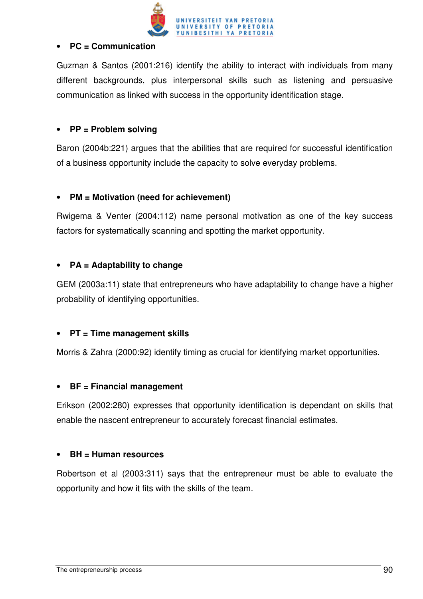

#### • **PC = Communication**

Guzman & Santos (2001:216) identify the ability to interact with individuals from many different backgrounds, plus interpersonal skills such as listening and persuasive communication as linked with success in the opportunity identification stage.

### • **PP = Problem solving**

Baron (2004b:221) argues that the abilities that are required for successful identification of a business opportunity include the capacity to solve everyday problems.

## • **PM = Motivation (need for achievement)**

Rwigema & Venter (2004:112) name personal motivation as one of the key success factors for systematically scanning and spotting the market opportunity.

## • **PA = Adaptability to change**

GEM (2003a:11) state that entrepreneurs who have adaptability to change have a higher probability of identifying opportunities.

## • **PT = Time management skills**

Morris & Zahra (2000:92) identify timing as crucial for identifying market opportunities.

#### • **BF = Financial management**

Erikson (2002:280) expresses that opportunity identification is dependant on skills that enable the nascent entrepreneur to accurately forecast financial estimates.

#### • **BH = Human resources**

Robertson et al (2003:311) says that the entrepreneur must be able to evaluate the opportunity and how it fits with the skills of the team.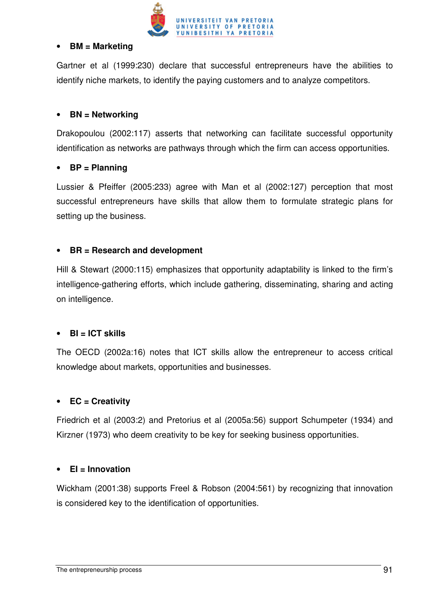

#### • **BM = Marketing**

Gartner et al (1999:230) declare that successful entrepreneurs have the abilities to identify niche markets, to identify the paying customers and to analyze competitors.

### • **BN = Networking**

Drakopoulou (2002:117) asserts that networking can facilitate successful opportunity identification as networks are pathways through which the firm can access opportunities.

## • **BP = Planning**

Lussier & Pfeiffer (2005:233) agree with Man et al (2002:127) perception that most successful entrepreneurs have skills that allow them to formulate strategic plans for setting up the business.

## • **BR = Research and development**

Hill & Stewart (2000:115) emphasizes that opportunity adaptability is linked to the firm's intelligence-gathering efforts, which include gathering, disseminating, sharing and acting on intelligence.

#### • **BI = ICT skills**

The OECD (2002a:16) notes that ICT skills allow the entrepreneur to access critical knowledge about markets, opportunities and businesses.

#### • **EC = Creativity**

Friedrich et al (2003:2) and Pretorius et al (2005a:56) support Schumpeter (1934) and Kirzner (1973) who deem creativity to be key for seeking business opportunities.

#### • **EI = Innovation**

Wickham (2001:38) supports Freel & Robson (2004:561) by recognizing that innovation is considered key to the identification of opportunities.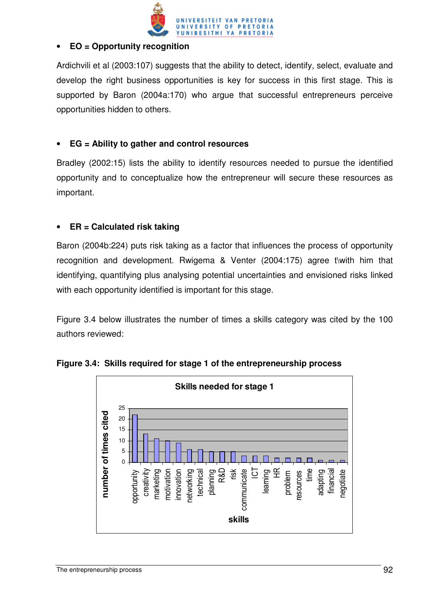

## • **EO = Opportunity recognition**

Ardichvili et al (2003:107) suggests that the ability to detect, identify, select, evaluate and develop the right business opportunities is key for success in this first stage. This is supported by Baron (2004a:170) who argue that successful entrepreneurs perceive opportunities hidden to others.

## • **EG = Ability to gather and control resources**

Bradley (2002:15) lists the ability to identify resources needed to pursue the identified opportunity and to conceptualize how the entrepreneur will secure these resources as important.

## • **ER = Calculated risk taking**

Baron (2004b:224) puts risk taking as a factor that influences the process of opportunity recognition and development. Rwigema & Venter (2004:175) agree t\with him that identifying, quantifying plus analysing potential uncertainties and envisioned risks linked with each opportunity identified is important for this stage.

Figure 3.4 below illustrates the number of times a skills category was cited by the 100 authors reviewed:



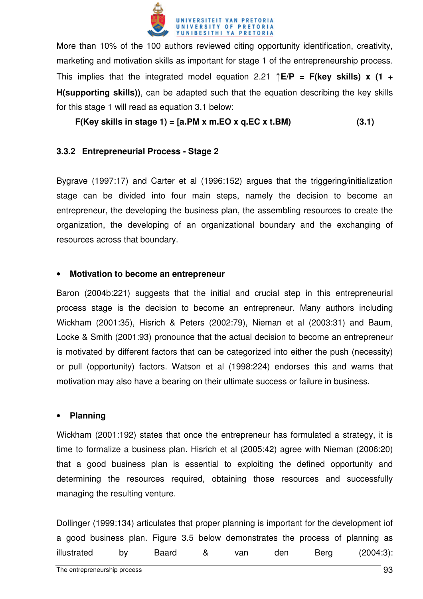

More than 10% of the 100 authors reviewed citing opportunity identification, creativity, marketing and motivation skills as important for stage 1 of the entrepreneurship process. This implies that the integrated model equation 2.21 ↑**E/P = F(key skills) x (1 + H(supporting skills))**, can be adapted such that the equation describing the key skills for this stage 1 will read as equation 3.1 below:

 $F(Key$  skills in stage 1) =  $[a.PM x m.EO x q.EC x t.BM)$  (3.1)

#### **3.3.2 Entrepreneurial Process - Stage 2**

Bygrave (1997:17) and Carter et al (1996:152) argues that the triggering/initialization stage can be divided into four main steps, namely the decision to become an entrepreneur, the developing the business plan, the assembling resources to create the organization, the developing of an organizational boundary and the exchanging of resources across that boundary.

#### • **Motivation to become an entrepreneur**

Baron (2004b:221) suggests that the initial and crucial step in this entrepreneurial process stage is the decision to become an entrepreneur. Many authors including Wickham (2001:35), Hisrich & Peters (2002:79), Nieman et al (2003:31) and Baum, Locke & Smith (2001:93) pronounce that the actual decision to become an entrepreneur is motivated by different factors that can be categorized into either the push (necessity) or pull (opportunity) factors. Watson et al (1998:224) endorses this and warns that motivation may also have a bearing on their ultimate success or failure in business.

#### • **Planning**

Wickham (2001:192) states that once the entrepreneur has formulated a strategy, it is time to formalize a business plan. Hisrich et al (2005:42) agree with Nieman (2006:20) that a good business plan is essential to exploiting the defined opportunity and determining the resources required, obtaining those resources and successfully managing the resulting venture.

Dollinger (1999:134) articulates that proper planning is important for the development iof a good business plan. Figure 3.5 below demonstrates the process of planning as illustrated by Baard & van den Berg (2004:3):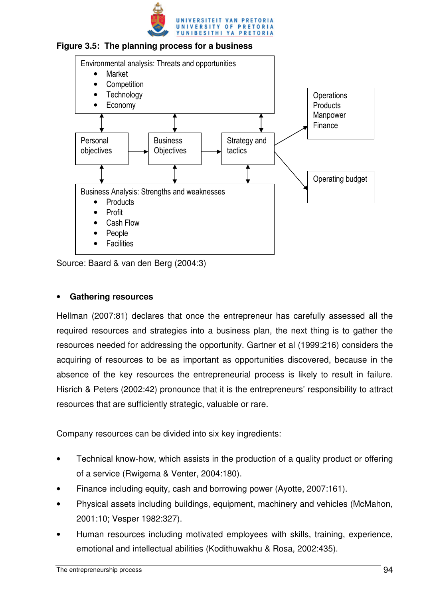





Source: Baard & van den Berg (2004:3)

#### • **Gathering resources**

Hellman (2007:81) declares that once the entrepreneur has carefully assessed all the required resources and strategies into a business plan, the next thing is to gather the resources needed for addressing the opportunity. Gartner et al (1999:216) considers the acquiring of resources to be as important as opportunities discovered, because in the absence of the key resources the entrepreneurial process is likely to result in failure. Hisrich & Peters (2002:42) pronounce that it is the entrepreneurs' responsibility to attract resources that are sufficiently strategic, valuable or rare.

Company resources can be divided into six key ingredients:

- Technical know-how, which assists in the production of a quality product or offering of a service (Rwigema & Venter, 2004:180).
- Finance including equity, cash and borrowing power (Ayotte, 2007:161).
- Physical assets including buildings, equipment, machinery and vehicles (McMahon, 2001:10; Vesper 1982:327).
- Human resources including motivated employees with skills, training, experience, emotional and intellectual abilities (Kodithuwakhu & Rosa, 2002:435).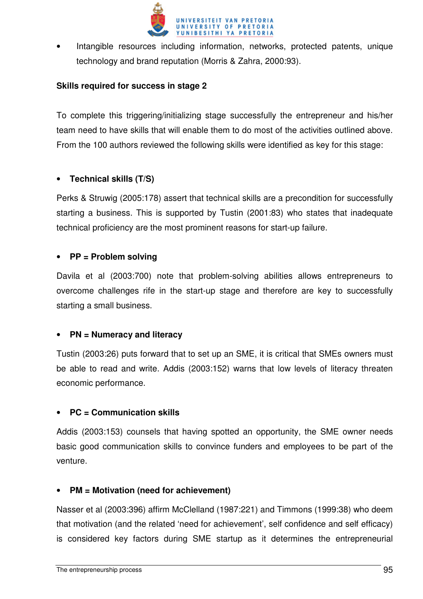

Intangible resources including information, networks, protected patents, unique technology and brand reputation (Morris & Zahra, 2000:93).

#### **Skills required for success in stage 2**

To complete this triggering/initializing stage successfully the entrepreneur and his/her team need to have skills that will enable them to do most of the activities outlined above. From the 100 authors reviewed the following skills were identified as key for this stage:

#### • **Technical skills (T/S)**

Perks & Struwig (2005:178) assert that technical skills are a precondition for successfully starting a business. This is supported by Tustin (2001:83) who states that inadequate technical proficiency are the most prominent reasons for start-up failure.

#### • **PP = Problem solving**

Davila et al (2003:700) note that problem-solving abilities allows entrepreneurs to overcome challenges rife in the start-up stage and therefore are key to successfully starting a small business.

#### • **PN = Numeracy and literacy**

Tustin (2003:26) puts forward that to set up an SME, it is critical that SMEs owners must be able to read and write. Addis (2003:152) warns that low levels of literacy threaten economic performance.

#### • **PC = Communication skills**

Addis (2003:153) counsels that having spotted an opportunity, the SME owner needs basic good communication skills to convince funders and employees to be part of the venture.

#### • **PM = Motivation (need for achievement)**

Nasser et al (2003:396) affirm McClelland (1987:221) and Timmons (1999:38) who deem that motivation (and the related 'need for achievement', self confidence and self efficacy) is considered key factors during SME startup as it determines the entrepreneurial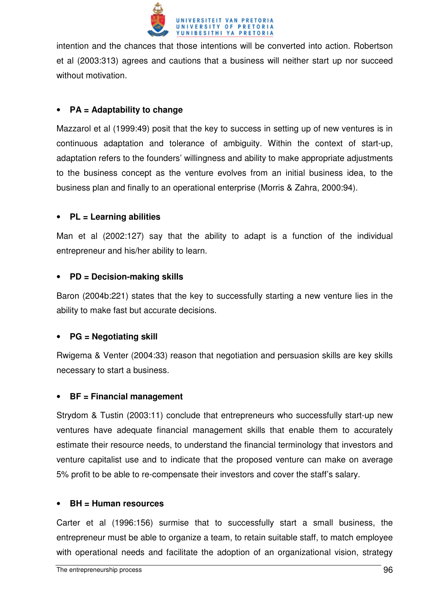

intention and the chances that those intentions will be converted into action. Robertson et al (2003:313) agrees and cautions that a business will neither start up nor succeed without motivation.

### • **PA = Adaptability to change**

Mazzarol et al (1999:49) posit that the key to success in setting up of new ventures is in continuous adaptation and tolerance of ambiguity. Within the context of start-up, adaptation refers to the founders' willingness and ability to make appropriate adjustments to the business concept as the venture evolves from an initial business idea, to the business plan and finally to an operational enterprise (Morris & Zahra, 2000:94).

## • **PL = Learning abilities**

Man et al (2002:127) say that the ability to adapt is a function of the individual entrepreneur and his/her ability to learn.

#### • **PD = Decision-making skills**

Baron (2004b:221) states that the key to successfully starting a new venture lies in the ability to make fast but accurate decisions.

## • **PG = Negotiating skill**

Rwigema & Venter (2004:33) reason that negotiation and persuasion skills are key skills necessary to start a business.

#### • **BF = Financial management**

Strydom & Tustin (2003:11) conclude that entrepreneurs who successfully start-up new ventures have adequate financial management skills that enable them to accurately estimate their resource needs, to understand the financial terminology that investors and venture capitalist use and to indicate that the proposed venture can make on average 5% profit to be able to re-compensate their investors and cover the staff's salary.

#### • **BH = Human resources**

Carter et al (1996:156) surmise that to successfully start a small business, the entrepreneur must be able to organize a team, to retain suitable staff, to match employee with operational needs and facilitate the adoption of an organizational vision, strategy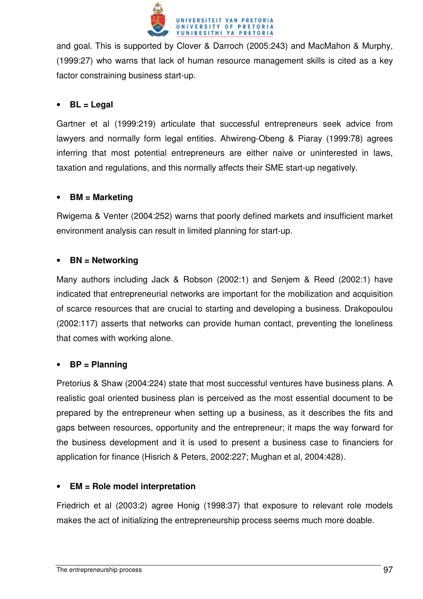

and goal. This is supported by Clover & Darroch (2005:243) and MacMahon & Murphy, (1999:27) who warns that lack of human resource management skills is cited as a key factor constraining business start-up.

#### • **BL = Legal**

Gartner et al (1999:219) articulate that successful entrepreneurs seek advice from lawyers and normally form legal entities. Ahwireng-Obeng & Piaray (1999:78) agrees inferring that most potential entrepreneurs are either naive or uninterested in laws, taxation and regulations, and this normally affects their SME start-up negatively.

## • **BM = Marketing**

Rwigema & Venter (2004:252) warns that poorly defined markets and insufficient market environment analysis can result in limited planning for start-up.

## • **BN = Networking**

Many authors including Jack & Robson (2002:1) and Senjem & Reed (2002:1) have indicated that entrepreneurial networks are important for the mobilization and acquisition of scarce resources that are crucial to starting and developing a business. Drakopoulou (2002:117) asserts that networks can provide human contact, preventing the loneliness that comes with working alone.

## • **BP = Planning**

Pretorius & Shaw (2004:224) state that most successful ventures have business plans. A realistic goal oriented business plan is perceived as the most essential document to be prepared by the entrepreneur when setting up a business, as it describes the fits and gaps between resources, opportunity and the entrepreneur; it maps the way forward for the business development and it is used to present a business case to financiers for application for finance (Hisrich & Peters, 2002:227; Mughan et al, 2004:428).

## • **EM = Role model interpretation**

Friedrich et al (2003:2) agree Honig (1998:37) that exposure to relevant role models makes the act of initializing the entrepreneurship process seems much more doable.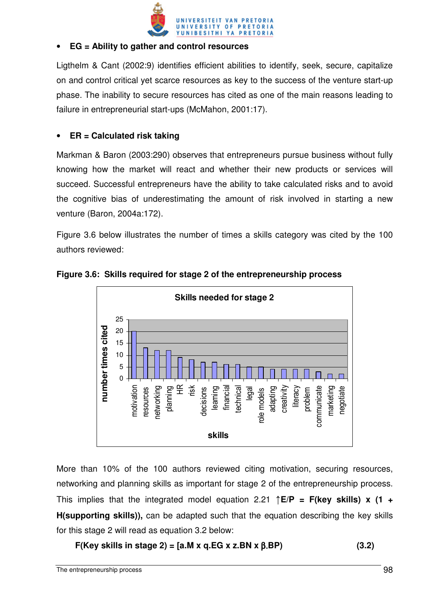

#### • **EG = Ability to gather and control resources**

Ligthelm & Cant (2002:9) identifies efficient abilities to identify, seek, secure, capitalize on and control critical yet scarce resources as key to the success of the venture start-up phase. The inability to secure resources has cited as one of the main reasons leading to failure in entrepreneurial start-ups (McMahon, 2001:17).

### • **ER = Calculated risk taking**

Markman & Baron (2003:290) observes that entrepreneurs pursue business without fully knowing how the market will react and whether their new products or services will succeed. Successful entrepreneurs have the ability to take calculated risks and to avoid the cognitive bias of underestimating the amount of risk involved in starting a new venture (Baron, 2004a:172).

Figure 3.6 below illustrates the number of times a skills category was cited by the 100 authors reviewed:





More than 10% of the 100 authors reviewed citing motivation, securing resources, networking and planning skills as important for stage 2 of the entrepreneurship process. This implies that the integrated model equation 2.21 ↑**E/P = F(key skills) x (1 + H(supporting skills)),** can be adapted such that the equation describing the key skills for this stage 2 will read as equation 3.2 below:

$$
F(Key skills in stage 2) = [a.M x q.EG x z.BN x \beta.BP]
$$
 (3.2)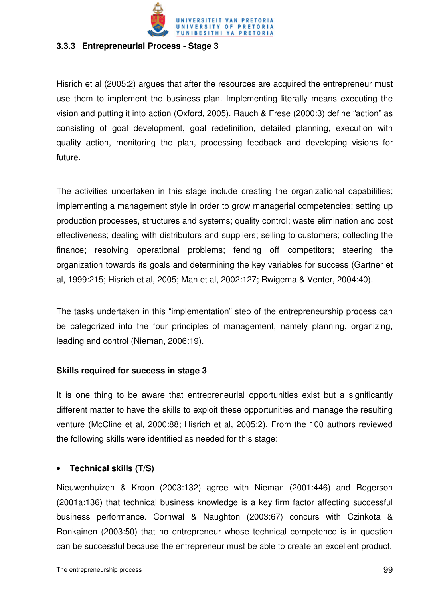

#### **3.3.3 Entrepreneurial Process - Stage 3**

Hisrich et al (2005:2) argues that after the resources are acquired the entrepreneur must use them to implement the business plan. Implementing literally means executing the vision and putting it into action (Oxford, 2005). Rauch & Frese (2000:3) define "action" as consisting of goal development, goal redefinition, detailed planning, execution with quality action, monitoring the plan, processing feedback and developing visions for future.

The activities undertaken in this stage include creating the organizational capabilities; implementing a management style in order to grow managerial competencies; setting up production processes, structures and systems; quality control; waste elimination and cost effectiveness; dealing with distributors and suppliers; selling to customers; collecting the finance; resolving operational problems; fending off competitors; steering the organization towards its goals and determining the key variables for success (Gartner et al, 1999:215; Hisrich et al, 2005; Man et al, 2002:127; Rwigema & Venter, 2004:40).

The tasks undertaken in this "implementation" step of the entrepreneurship process can be categorized into the four principles of management, namely planning, organizing, leading and control (Nieman, 2006:19).

#### **Skills required for success in stage 3**

It is one thing to be aware that entrepreneurial opportunities exist but a significantly different matter to have the skills to exploit these opportunities and manage the resulting venture (McCline et al, 2000:88; Hisrich et al, 2005:2). From the 100 authors reviewed the following skills were identified as needed for this stage:

#### • **Technical skills (T/S)**

Nieuwenhuizen & Kroon (2003:132) agree with Nieman (2001:446) and Rogerson (2001a:136) that technical business knowledge is a key firm factor affecting successful business performance. Cornwal & Naughton (2003:67) concurs with Czinkota & Ronkainen (2003:50) that no entrepreneur whose technical competence is in question can be successful because the entrepreneur must be able to create an excellent product.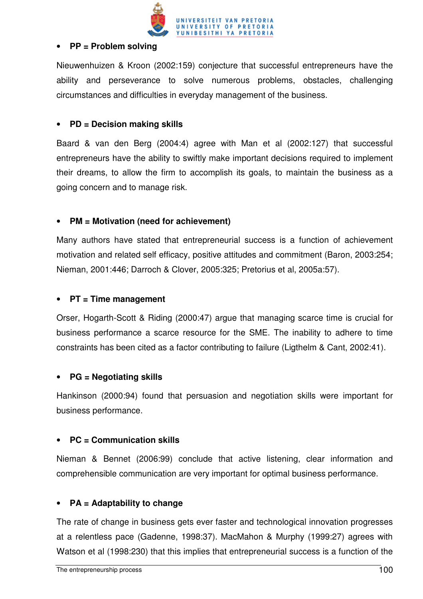

#### • **PP = Problem solving**

Nieuwenhuizen & Kroon (2002:159) conjecture that successful entrepreneurs have the ability and perseverance to solve numerous problems, obstacles, challenging circumstances and difficulties in everyday management of the business.

### • **PD = Decision making skills**

Baard & van den Berg (2004:4) agree with Man et al (2002:127) that successful entrepreneurs have the ability to swiftly make important decisions required to implement their dreams, to allow the firm to accomplish its goals, to maintain the business as a going concern and to manage risk.

## • **PM = Motivation (need for achievement)**

Many authors have stated that entrepreneurial success is a function of achievement motivation and related self efficacy, positive attitudes and commitment (Baron, 2003:254; Nieman, 2001:446; Darroch & Clover, 2005:325; Pretorius et al, 2005a:57).

### • **PT = Time management**

Orser, Hogarth-Scott & Riding (2000:47) argue that managing scarce time is crucial for business performance a scarce resource for the SME. The inability to adhere to time constraints has been cited as a factor contributing to failure (Ligthelm & Cant, 2002:41).

#### • **PG = Negotiating skills**

Hankinson (2000:94) found that persuasion and negotiation skills were important for business performance.

#### • **PC = Communication skills**

Nieman & Bennet (2006:99) conclude that active listening, clear information and comprehensible communication are very important for optimal business performance.

#### • **PA = Adaptability to change**

The rate of change in business gets ever faster and technological innovation progresses at a relentless pace (Gadenne, 1998:37). MacMahon & Murphy (1999:27) agrees with Watson et al (1998:230) that this implies that entrepreneurial success is a function of the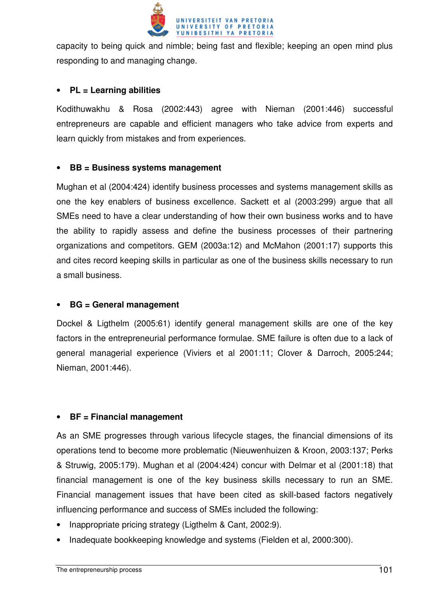

capacity to being quick and nimble; being fast and flexible; keeping an open mind plus responding to and managing change.

## • **PL = Learning abilities**

Kodithuwakhu & Rosa (2002:443) agree with Nieman (2001:446) successful entrepreneurs are capable and efficient managers who take advice from experts and learn quickly from mistakes and from experiences.

#### • **BB = Business systems management**

Mughan et al (2004:424) identify business processes and systems management skills as one the key enablers of business excellence. Sackett et al (2003:299) argue that all SMEs need to have a clear understanding of how their own business works and to have the ability to rapidly assess and define the business processes of their partnering organizations and competitors. GEM (2003a:12) and McMahon (2001:17) supports this and cites record keeping skills in particular as one of the business skills necessary to run a small business.

#### • **BG = General management**

Dockel & Ligthelm (2005:61) identify general management skills are one of the key factors in the entrepreneurial performance formulae. SME failure is often due to a lack of general managerial experience (Viviers et al 2001:11; Clover & Darroch, 2005:244; Nieman, 2001:446).

#### • **BF = Financial management**

As an SME progresses through various lifecycle stages, the financial dimensions of its operations tend to become more problematic (Nieuwenhuizen & Kroon, 2003:137; Perks & Struwig, 2005:179). Mughan et al (2004:424) concur with Delmar et al (2001:18) that financial management is one of the key business skills necessary to run an SME. Financial management issues that have been cited as skill-based factors negatively influencing performance and success of SMEs included the following:

- Inappropriate pricing strategy (Ligthelm & Cant, 2002:9).
- Inadequate bookkeeping knowledge and systems (Fielden et al, 2000:300).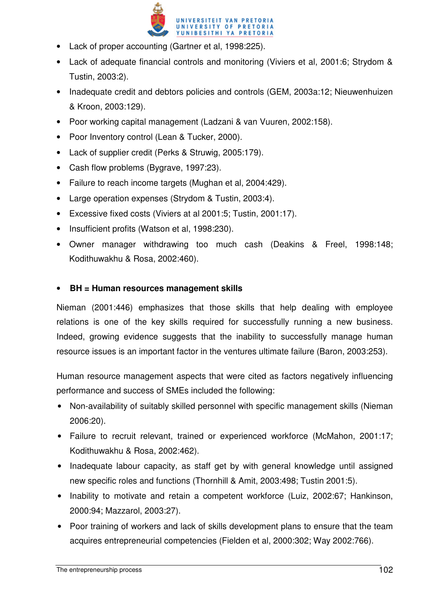

- Lack of proper accounting (Gartner et al, 1998:225).
- Lack of adequate financial controls and monitoring (Viviers et al, 2001:6; Strydom & Tustin, 2003:2).
- Inadequate credit and debtors policies and controls (GEM, 2003a:12; Nieuwenhuizen & Kroon, 2003:129).
- Poor working capital management (Ladzani & van Vuuren, 2002:158).
- Poor Inventory control (Lean & Tucker, 2000).
- Lack of supplier credit (Perks & Struwig, 2005:179).
- Cash flow problems (Bygrave, 1997:23).
- Failure to reach income targets (Mughan et al, 2004:429).
- Large operation expenses (Strydom & Tustin, 2003:4).
- Excessive fixed costs (Viviers at al 2001:5; Tustin, 2001:17).
- Insufficient profits (Watson et al, 1998:230).
- Owner manager withdrawing too much cash (Deakins & Freel, 1998:148; Kodithuwakhu & Rosa, 2002:460).

## • **BH = Human resources management skills**

Nieman (2001:446) emphasizes that those skills that help dealing with employee relations is one of the key skills required for successfully running a new business. Indeed, growing evidence suggests that the inability to successfully manage human resource issues is an important factor in the ventures ultimate failure (Baron, 2003:253).

Human resource management aspects that were cited as factors negatively influencing performance and success of SMEs included the following:

- Non-availability of suitably skilled personnel with specific management skills (Nieman 2006:20).
- Failure to recruit relevant, trained or experienced workforce (McMahon, 2001:17; Kodithuwakhu & Rosa, 2002:462).
- Inadequate labour capacity, as staff get by with general knowledge until assigned new specific roles and functions (Thornhill & Amit, 2003:498; Tustin 2001:5).
- Inability to motivate and retain a competent workforce (Luiz, 2002:67; Hankinson, 2000:94; Mazzarol, 2003:27).
- Poor training of workers and lack of skills development plans to ensure that the team acquires entrepreneurial competencies (Fielden et al, 2000:302; Way 2002:766).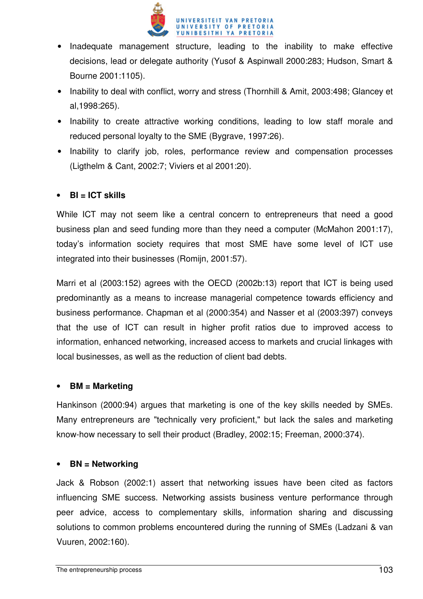

- Inadequate management structure, leading to the inability to make effective decisions, lead or delegate authority (Yusof & Aspinwall 2000:283; Hudson, Smart & Bourne 2001:1105).
- Inability to deal with conflict, worry and stress (Thornhill & Amit, 2003:498; Glancey et al,1998:265).
- Inability to create attractive working conditions, leading to low staff morale and reduced personal loyalty to the SME (Bygrave, 1997:26).
- Inability to clarify job, roles, performance review and compensation processes (Ligthelm & Cant, 2002:7; Viviers et al 2001:20).

## • **BI = ICT skills**

While ICT may not seem like a central concern to entrepreneurs that need a good business plan and seed funding more than they need a computer (McMahon 2001:17), today's information society requires that most SME have some level of ICT use integrated into their businesses (Romijn, 2001:57).

Marri et al (2003:152) agrees with the OECD (2002b:13) report that ICT is being used predominantly as a means to increase managerial competence towards efficiency and business performance. Chapman et al (2000:354) and Nasser et al (2003:397) conveys that the use of ICT can result in higher profit ratios due to improved access to information, enhanced networking, increased access to markets and crucial linkages with local businesses, as well as the reduction of client bad debts.

#### • **BM = Marketing**

Hankinson (2000:94) argues that marketing is one of the key skills needed by SMEs. Many entrepreneurs are "technically very proficient," but lack the sales and marketing know-how necessary to sell their product (Bradley, 2002:15; Freeman, 2000:374).

#### • **BN = Networking**

Jack & Robson (2002:1) assert that networking issues have been cited as factors influencing SME success. Networking assists business venture performance through peer advice, access to complementary skills, information sharing and discussing solutions to common problems encountered during the running of SMEs (Ladzani & van Vuuren, 2002:160).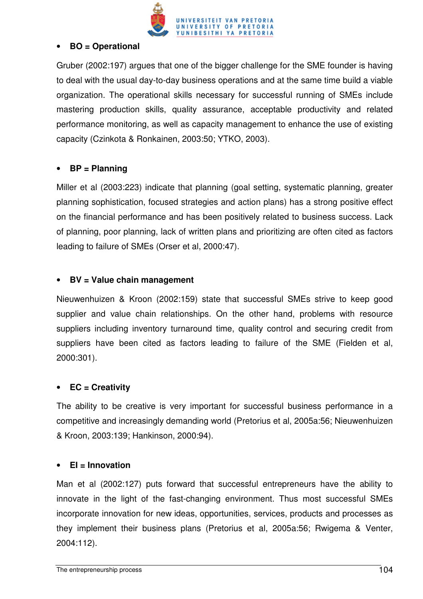

#### • **BO = Operational**

Gruber (2002:197) argues that one of the bigger challenge for the SME founder is having to deal with the usual day-to-day business operations and at the same time build a viable organization. The operational skills necessary for successful running of SMEs include mastering production skills, quality assurance, acceptable productivity and related performance monitoring, as well as capacity management to enhance the use of existing capacity (Czinkota & Ronkainen, 2003:50; YTKO, 2003).

#### • **BP = Planning**

Miller et al (2003:223) indicate that planning (goal setting, systematic planning, greater planning sophistication, focused strategies and action plans) has a strong positive effect on the financial performance and has been positively related to business success. Lack of planning, poor planning, lack of written plans and prioritizing are often cited as factors leading to failure of SMEs (Orser et al, 2000:47).

## • **BV = Value chain management**

Nieuwenhuizen & Kroon (2002:159) state that successful SMEs strive to keep good supplier and value chain relationships. On the other hand, problems with resource suppliers including inventory turnaround time, quality control and securing credit from suppliers have been cited as factors leading to failure of the SME (Fielden et al, 2000:301).

#### • **EC = Creativity**

The ability to be creative is very important for successful business performance in a competitive and increasingly demanding world (Pretorius et al, 2005a:56; Nieuwenhuizen & Kroon, 2003:139; Hankinson, 2000:94).

#### • **EI = Innovation**

Man et al (2002:127) puts forward that successful entrepreneurs have the ability to innovate in the light of the fast-changing environment. Thus most successful SMEs incorporate innovation for new ideas, opportunities, services, products and processes as they implement their business plans (Pretorius et al, 2005a:56; Rwigema & Venter, 2004:112).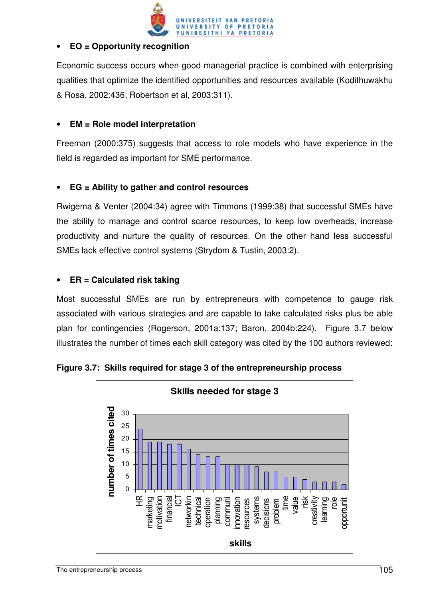

## • **EO = Opportunity recognition**

Economic success occurs when good managerial practice is combined with enterprising qualities that optimize the identified opportunities and resources available (Kodithuwakhu & Rosa, 2002:436; Robertson et al, 2003:311).

## • **EM = Role model interpretation**

Freeman (2000:375) suggests that access to role models who have experience in the field is regarded as important for SME performance.

## • **EG = Ability to gather and control resources**

Rwigema & Venter (2004:34) agree with Timmons (1999:38) that successful SMEs have the ability to manage and control scarce resources, to keep low overheads, increase productivity and nurture the quality of resources. On the other hand less successful SMEs lack effective control systems (Strydom & Tustin, 2003:2).

## • **ER = Calculated risk taking**

Most successful SMEs are run by entrepreneurs with competence to gauge risk associated with various strategies and are capable to take calculated risks plus be able plan for contingencies (Rogerson, 2001a:137; Baron, 2004b:224). Figure 3.7 below illustrates the number of times each skill category was cited by the 100 authors reviewed:



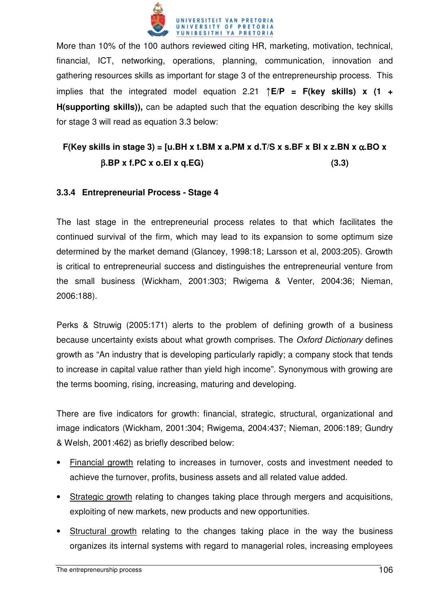

More than 10% of the 100 authors reviewed citing HR, marketing, motivation, technical, financial, ICT, networking, operations, planning, communication, innovation and gathering resources skills as important for stage 3 of the entrepreneurship process. This implies that the integrated model equation 2.21 ↑**E/P = F(key skills) x (1 + H(supporting skills)),** can be adapted such that the equation describing the key skills for stage 3 will read as equation 3.3 below:

# **F(Key skills in stage 3) = [u.BH x t.BM x a.PM x d.T/S x s.BF x BI x z.BN x** α**.BO x**  β**.BP x f.PC x o.EI x q.EG) (3.3)**

## **3.3.4 Entrepreneurial Process - Stage 4**

The last stage in the entrepreneurial process relates to that which facilitates the continued survival of the firm, which may lead to its expansion to some optimum size determined by the market demand (Glancey, 1998:18; Larsson et al, 2003:205). Growth is critical to entrepreneurial success and distinguishes the entrepreneurial venture from the small business (Wickham, 2001:303; Rwigema & Venter, 2004:36; Nieman, 2006:188).

Perks & Struwig (2005:171) alerts to the problem of defining growth of a business because uncertainty exists about what growth comprises. The Oxford Dictionary defines growth as "An industry that is developing particularly rapidly; a company stock that tends to increase in capital value rather than yield high income". Synonymous with growing are the terms booming, rising, increasing, maturing and developing.

There are five indicators for growth: financial, strategic, structural, organizational and image indicators (Wickham, 2001:304; Rwigema, 2004:437; Nieman, 2006:189; Gundry & Welsh, 2001:462) as briefly described below:

- Financial growth relating to increases in turnover, costs and investment needed to achieve the turnover, profits, business assets and all related value added.
- Strategic growth relating to changes taking place through mergers and acquisitions, exploiting of new markets, new products and new opportunities.
- Structural growth relating to the changes taking place in the way the business organizes its internal systems with regard to managerial roles, increasing employees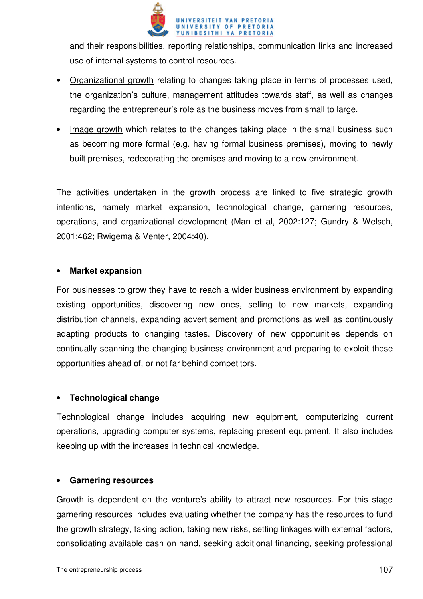

and their responsibilities, reporting relationships, communication links and increased use of internal systems to control resources.

- Organizational growth relating to changes taking place in terms of processes used, the organization's culture, management attitudes towards staff, as well as changes regarding the entrepreneur's role as the business moves from small to large.
- Image growth which relates to the changes taking place in the small business such as becoming more formal (e.g. having formal business premises), moving to newly built premises, redecorating the premises and moving to a new environment.

The activities undertaken in the growth process are linked to five strategic growth intentions, namely market expansion, technological change, garnering resources, operations, and organizational development (Man et al, 2002:127; Gundry & Welsch, 2001:462; Rwigema & Venter, 2004:40).

#### • **Market expansion**

For businesses to grow they have to reach a wider business environment by expanding existing opportunities, discovering new ones, selling to new markets, expanding distribution channels, expanding advertisement and promotions as well as continuously adapting products to changing tastes. Discovery of new opportunities depends on continually scanning the changing business environment and preparing to exploit these opportunities ahead of, or not far behind competitors.

## • **Technological change**

Technological change includes acquiring new equipment, computerizing current operations, upgrading computer systems, replacing present equipment. It also includes keeping up with the increases in technical knowledge.

#### • **Garnering resources**

Growth is dependent on the venture's ability to attract new resources. For this stage garnering resources includes evaluating whether the company has the resources to fund the growth strategy, taking action, taking new risks, setting linkages with external factors, consolidating available cash on hand, seeking additional financing, seeking professional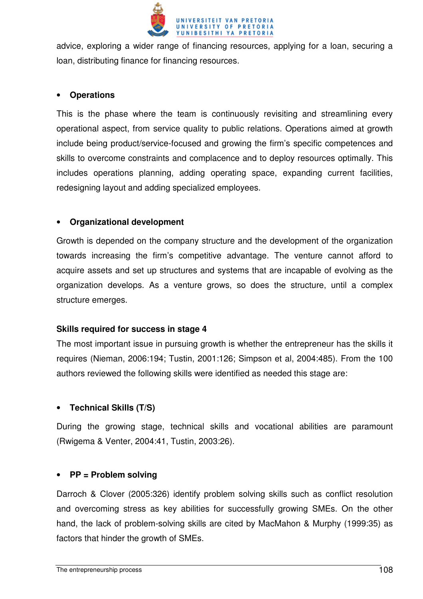

advice, exploring a wider range of financing resources, applying for a loan, securing a loan, distributing finance for financing resources.

#### • **Operations**

This is the phase where the team is continuously revisiting and streamlining every operational aspect, from service quality to public relations. Operations aimed at growth include being product/service-focused and growing the firm's specific competences and skills to overcome constraints and complacence and to deploy resources optimally. This includes operations planning, adding operating space, expanding current facilities, redesigning layout and adding specialized employees.

#### • **Organizational development**

Growth is depended on the company structure and the development of the organization towards increasing the firm's competitive advantage. The venture cannot afford to acquire assets and set up structures and systems that are incapable of evolving as the organization develops. As a venture grows, so does the structure, until a complex structure emerges.

#### **Skills required for success in stage 4**

The most important issue in pursuing growth is whether the entrepreneur has the skills it requires (Nieman, 2006:194; Tustin, 2001:126; Simpson et al, 2004:485). From the 100 authors reviewed the following skills were identified as needed this stage are:

#### • **Technical Skills (T/S)**

During the growing stage, technical skills and vocational abilities are paramount (Rwigema & Venter, 2004:41, Tustin, 2003:26).

#### • **PP = Problem solving**

Darroch & Clover (2005:326) identify problem solving skills such as conflict resolution and overcoming stress as key abilities for successfully growing SMEs. On the other hand, the lack of problem-solving skills are cited by MacMahon & Murphy (1999:35) as factors that hinder the growth of SMEs.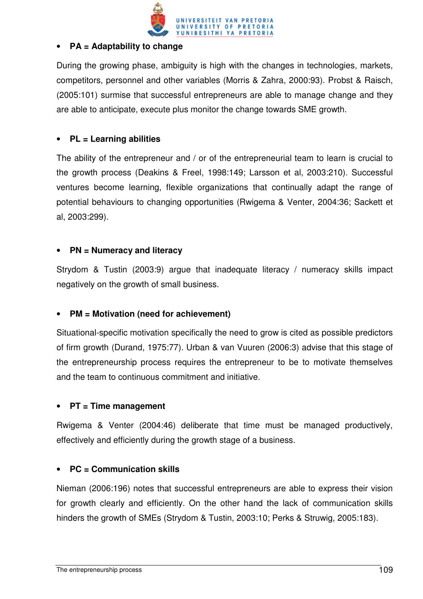

#### • **PA = Adaptability to change**

During the growing phase, ambiguity is high with the changes in technologies, markets, competitors, personnel and other variables (Morris & Zahra, 2000:93). Probst & Raisch, (2005:101) surmise that successful entrepreneurs are able to manage change and they are able to anticipate, execute plus monitor the change towards SME growth.

## • **PL = Learning abilities**

The ability of the entrepreneur and / or of the entrepreneurial team to learn is crucial to the growth process (Deakins & Freel, 1998:149; Larsson et al, 2003:210). Successful ventures become learning, flexible organizations that continually adapt the range of potential behaviours to changing opportunities (Rwigema & Venter, 2004:36; Sackett et al, 2003:299).

## • **PN = Numeracy and literacy**

Strydom & Tustin (2003:9) argue that inadequate literacy / numeracy skills impact negatively on the growth of small business.

## • **PM = Motivation (need for achievement)**

Situational-specific motivation specifically the need to grow is cited as possible predictors of firm growth (Durand, 1975:77). Urban & van Vuuren (2006:3) advise that this stage of the entrepreneurship process requires the entrepreneur to be to motivate themselves and the team to continuous commitment and initiative.

#### • **PT = Time management**

Rwigema & Venter (2004:46) deliberate that time must be managed productively, effectively and efficiently during the growth stage of a business.

#### • **PC = Communication skills**

Nieman (2006:196) notes that successful entrepreneurs are able to express their vision for growth clearly and efficiently. On the other hand the lack of communication skills hinders the growth of SMEs (Strydom & Tustin, 2003:10; Perks & Struwig, 2005:183).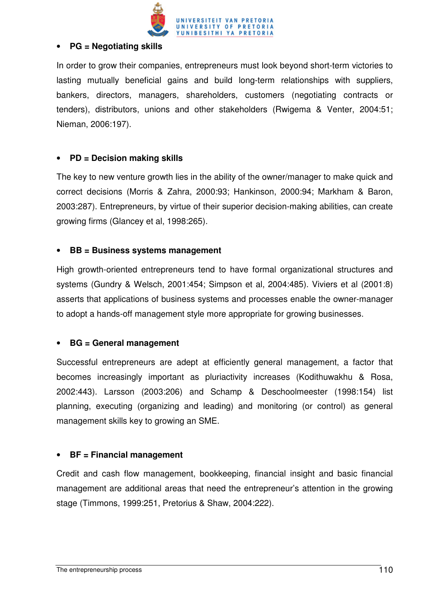

#### • **PG = Negotiating skills**

In order to grow their companies, entrepreneurs must look beyond short-term victories to lasting mutually beneficial gains and build long-term relationships with suppliers, bankers, directors, managers, shareholders, customers (negotiating contracts or tenders), distributors, unions and other stakeholders (Rwigema & Venter, 2004:51; Nieman, 2006:197).

#### • **PD = Decision making skills**

The key to new venture growth lies in the ability of the owner/manager to make quick and correct decisions (Morris & Zahra, 2000:93; Hankinson, 2000:94; Markham & Baron, 2003:287). Entrepreneurs, by virtue of their superior decision-making abilities, can create growing firms (Glancey et al, 1998:265).

#### • **BB = Business systems management**

High growth-oriented entrepreneurs tend to have formal organizational structures and systems (Gundry & Welsch, 2001:454; Simpson et al, 2004:485). Viviers et al (2001:8) asserts that applications of business systems and processes enable the owner-manager to adopt a hands-off management style more appropriate for growing businesses.

#### • **BG = General management**

Successful entrepreneurs are adept at efficiently general management, a factor that becomes increasingly important as pluriactivity increases (Kodithuwakhu & Rosa, 2002:443). Larsson (2003:206) and Schamp & Deschoolmeester (1998:154) list planning, executing (organizing and leading) and monitoring (or control) as general management skills key to growing an SME.

## • **BF = Financial management**

Credit and cash flow management, bookkeeping, financial insight and basic financial management are additional areas that need the entrepreneur's attention in the growing stage (Timmons, 1999:251, Pretorius & Shaw, 2004:222).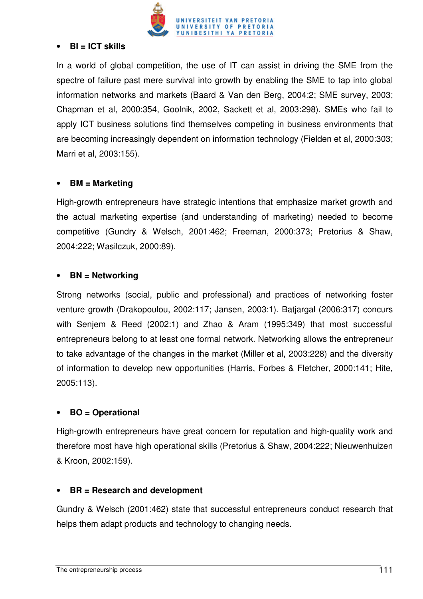

#### • **BI = ICT skills**

In a world of global competition, the use of IT can assist in driving the SME from the spectre of failure past mere survival into growth by enabling the SME to tap into global information networks and markets (Baard & Van den Berg, 2004:2; SME survey, 2003; Chapman et al, 2000:354, Goolnik, 2002, Sackett et al, 2003:298). SMEs who fail to apply ICT business solutions find themselves competing in business environments that are becoming increasingly dependent on information technology (Fielden et al, 2000:303; Marri et al, 2003:155).

#### • **BM = Marketing**

High-growth entrepreneurs have strategic intentions that emphasize market growth and the actual marketing expertise (and understanding of marketing) needed to become competitive (Gundry & Welsch, 2001:462; Freeman, 2000:373; Pretorius & Shaw, 2004:222; Wasilczuk, 2000:89).

#### • **BN = Networking**

Strong networks (social, public and professional) and practices of networking foster venture growth (Drakopoulou, 2002:117; Jansen, 2003:1). Batjargal (2006:317) concurs with Senjem & Reed (2002:1) and Zhao & Aram (1995:349) that most successful entrepreneurs belong to at least one formal network. Networking allows the entrepreneur to take advantage of the changes in the market (Miller et al, 2003:228) and the diversity of information to develop new opportunities (Harris, Forbes & Fletcher, 2000:141; Hite, 2005:113).

#### • **BO = Operational**

High-growth entrepreneurs have great concern for reputation and high-quality work and therefore most have high operational skills (Pretorius & Shaw, 2004:222; Nieuwenhuizen & Kroon, 2002:159).

#### • **BR = Research and development**

Gundry & Welsch (2001:462) state that successful entrepreneurs conduct research that helps them adapt products and technology to changing needs.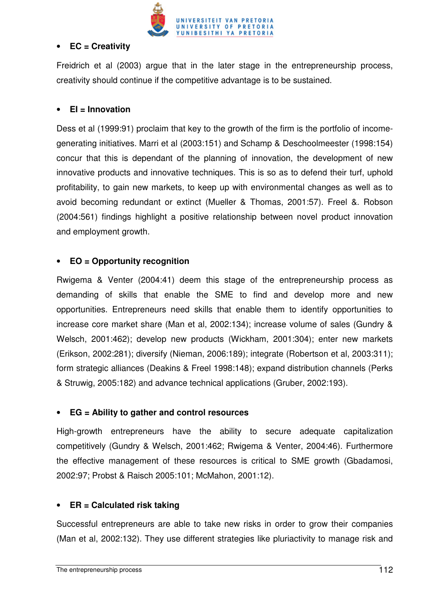

#### • **EC = Creativity**

Freidrich et al (2003) argue that in the later stage in the entrepreneurship process, creativity should continue if the competitive advantage is to be sustained.

#### • **EI = Innovation**

Dess et al (1999:91) proclaim that key to the growth of the firm is the portfolio of incomegenerating initiatives. Marri et al (2003:151) and Schamp & Deschoolmeester (1998:154) concur that this is dependant of the planning of innovation, the development of new innovative products and innovative techniques. This is so as to defend their turf, uphold profitability, to gain new markets, to keep up with environmental changes as well as to avoid becoming redundant or extinct (Mueller & Thomas, 2001:57). Freel &. Robson (2004:561) findings highlight a positive relationship between novel product innovation and employment growth.

#### • **EO = Opportunity recognition**

Rwigema & Venter (2004:41) deem this stage of the entrepreneurship process as demanding of skills that enable the SME to find and develop more and new opportunities. Entrepreneurs need skills that enable them to identify opportunities to increase core market share (Man et al, 2002:134); increase volume of sales (Gundry & Welsch, 2001:462); develop new products (Wickham, 2001:304); enter new markets (Erikson, 2002:281); diversify (Nieman, 2006:189); integrate (Robertson et al, 2003:311); form strategic alliances (Deakins & Freel 1998:148); expand distribution channels (Perks & Struwig, 2005:182) and advance technical applications (Gruber, 2002:193).

#### • **EG = Ability to gather and control resources**

High-growth entrepreneurs have the ability to secure adequate capitalization competitively (Gundry & Welsch, 2001:462; Rwigema & Venter, 2004:46). Furthermore the effective management of these resources is critical to SME growth (Gbadamosi, 2002:97; Probst & Raisch 2005:101; McMahon, 2001:12).

#### • **ER = Calculated risk taking**

Successful entrepreneurs are able to take new risks in order to grow their companies (Man et al, 2002:132). They use different strategies like pluriactivity to manage risk and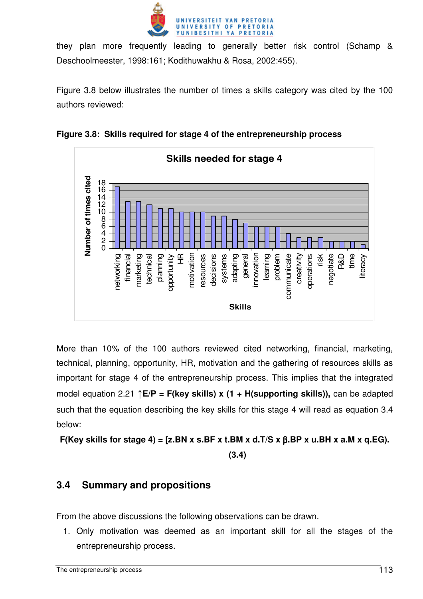

they plan more frequently leading to generally better risk control (Schamp & Deschoolmeester, 1998:161; Kodithuwakhu & Rosa, 2002:455).

Figure 3.8 below illustrates the number of times a skills category was cited by the 100 authors reviewed:



**Figure 3.8: Skills required for stage 4 of the entrepreneurship process**

More than 10% of the 100 authors reviewed cited networking, financial, marketing, technical, planning, opportunity, HR, motivation and the gathering of resources skills as important for stage 4 of the entrepreneurship process. This implies that the integrated model equation 2.21 ↑**E/P = F(key skills) x (1 + H(supporting skills)),** can be adapted such that the equation describing the key skills for this stage 4 will read as equation 3.4 below:

**F(Key skills for stage 4) = [z.BN x s.BF x t.BM x d.T/S x** β**.BP x u.BH x a.M x q.EG). (3.4)** 

# **3.4 Summary and propositions**

From the above discussions the following observations can be drawn.

1. Only motivation was deemed as an important skill for all the stages of the entrepreneurship process.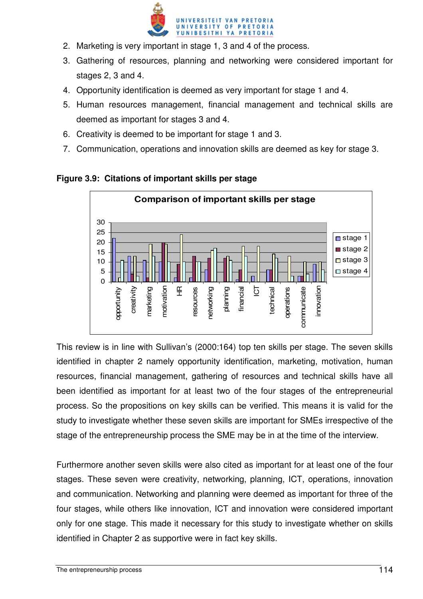

- 2. Marketing is very important in stage 1, 3 and 4 of the process.
- 3. Gathering of resources, planning and networking were considered important for stages 2, 3 and 4.
- 4. Opportunity identification is deemed as very important for stage 1 and 4.
- 5. Human resources management, financial management and technical skills are deemed as important for stages 3 and 4.
- 6. Creativity is deemed to be important for stage 1 and 3.
- 7. Communication, operations and innovation skills are deemed as key for stage 3.



## **Figure 3.9: Citations of important skills per stage**

This review is in line with Sullivan's (2000:164) top ten skills per stage. The seven skills identified in chapter 2 namely opportunity identification, marketing, motivation, human resources, financial management, gathering of resources and technical skills have all been identified as important for at least two of the four stages of the entrepreneurial process. So the propositions on key skills can be verified. This means it is valid for the study to investigate whether these seven skills are important for SMEs irrespective of the stage of the entrepreneurship process the SME may be in at the time of the interview.

Furthermore another seven skills were also cited as important for at least one of the four stages. These seven were creativity, networking, planning, ICT, operations, innovation and communication. Networking and planning were deemed as important for three of the four stages, while others like innovation, ICT and innovation were considered important only for one stage. This made it necessary for this study to investigate whether on skills identified in Chapter 2 as supportive were in fact key skills.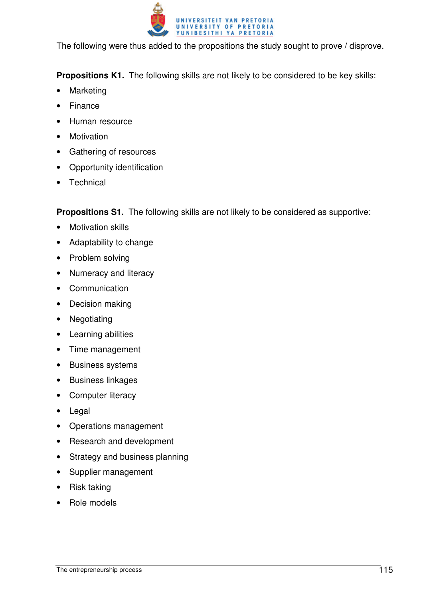

The following were thus added to the propositions the study sought to prove / disprove.

**Propositions K1.** The following skills are not likely to be considered to be key skills:

- **Marketing**
- **Finance**
- Human resource
- **Motivation**
- Gathering of resources
- Opportunity identification
- **Technical**

**Propositions S1.** The following skills are not likely to be considered as supportive:

- Motivation skills
- Adaptability to change
- Problem solving
- Numeracy and literacy
- Communication
- Decision making
- Negotiating
- Learning abilities
- Time management
- Business systems
- Business linkages
- Computer literacy
- Legal
- Operations management
- Research and development
- Strategy and business planning
- Supplier management
- Risk taking
- Role models